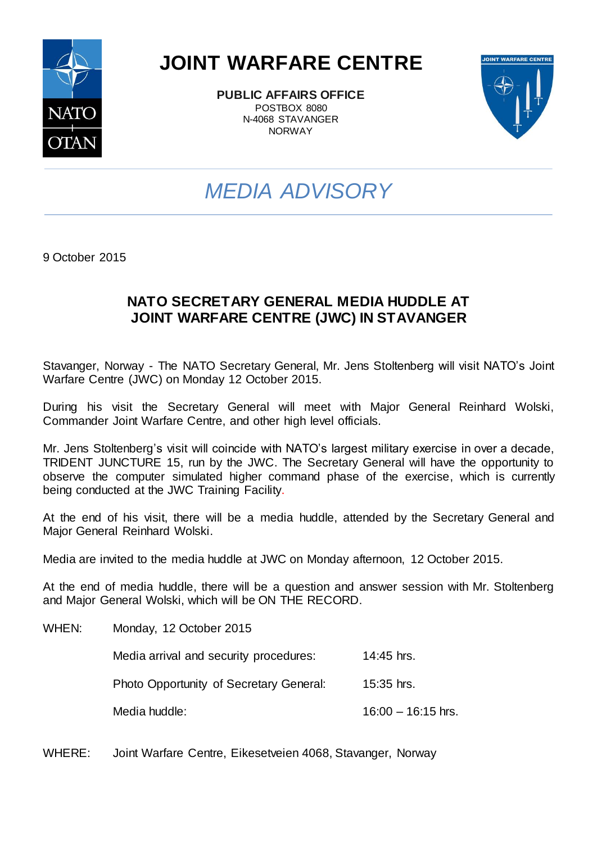

## **JOINT WARFARE CENTRE**

**PUBLIC AFFAIRS OFFICE** POSTBOX 8080 N-4068 STAVANGER NORWAY



## *MEDIA ADVISORY*

9 October 2015

### **NATO SECRETARY GENERAL MEDIA HUDDLE AT JOINT WARFARE CENTRE (JWC) IN STAVANGER**

Stavanger, Norway - The NATO Secretary General, Mr. Jens Stoltenberg will visit NATO's Joint Warfare Centre (JWC) on Monday 12 October 2015.

During his visit the Secretary General will meet with Major General Reinhard Wolski, Commander Joint Warfare Centre, and other high level officials.

Mr. Jens Stoltenberg's visit will coincide with NATO's largest military exercise in over a decade, TRIDENT JUNCTURE 15, run by the JWC. The Secretary General will have the opportunity to observe the computer simulated higher command phase of the exercise, which is currently being conducted at the JWC Training Facility.

At the end of his visit, there will be a media huddle, attended by the Secretary General and Major General Reinhard Wolski.

Media are invited to the media huddle at JWC on Monday afternoon, 12 October 2015.

At the end of media huddle, there will be a question and answer session with Mr. Stoltenberg and Major General Wolski, which will be ON THE RECORD.

| WHEN: | Monday, 12 October 2015                 |                      |  |  |
|-------|-----------------------------------------|----------------------|--|--|
|       | Media arrival and security procedures:  | 14:45 hrs.           |  |  |
|       | Photo Opportunity of Secretary General: | 15:35 hrs.           |  |  |
|       | Media huddle:                           | $16:00 - 16:15$ hrs. |  |  |

WHERE: Joint Warfare Centre, Eikesetveien 4068, Stavanger, Norway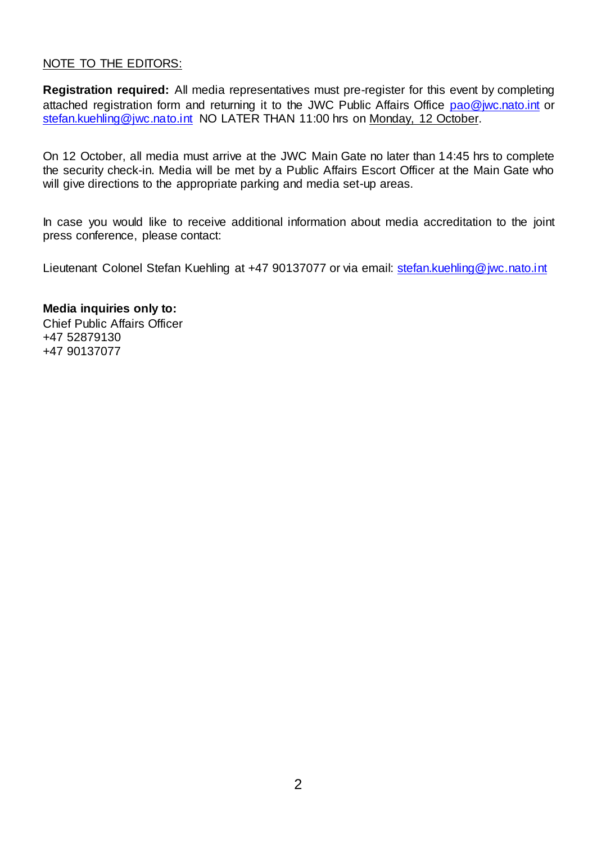#### NOTE TO THE EDITORS:

**Registration required:** All media representatives must pre-register for this event by completing attached registration form and returning it to the JWC Public Affairs Office [pao@jwc.nato.int](mailto:pao@jwc.nato.int) or [stefan.kuehling@jwc.nato.int](mailto:stefan.kuehling@jwc.nato.int) NO LATER THAN 11:00 hrs on Monday, 12 October.

On 12 October, all media must arrive at the JWC Main Gate no later than 14:45 hrs to complete the security check-in. Media will be met by a Public Affairs Escort Officer at the Main Gate who will give directions to the appropriate parking and media set-up areas.

In case you would like to receive additional information about media accreditation to the joint press conference, please contact:

Lieutenant Colonel Stefan Kuehling at +47 90137077 or via email: [stefan.kuehling@jwc.nato.int](mailto:stefan.kuehling@jwc.nato.int)

**Media inquiries only to:** Chief Public Affairs Officer +47 52879130 +47 90137077